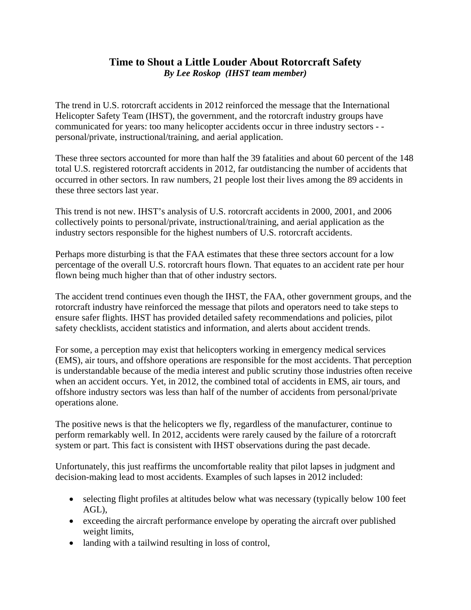## **Time to Shout a Little Louder About Rotorcraft Safety**  *By Lee Roskop (IHST team member)*

The trend in U.S. rotorcraft accidents in 2012 reinforced the message that the International Helicopter Safety Team (IHST), the government, and the rotorcraft industry groups have communicated for years: too many helicopter accidents occur in three industry sectors - personal/private, instructional/training, and aerial application.

These three sectors accounted for more than half the 39 fatalities and about 60 percent of the 148 total U.S. registered rotorcraft accidents in 2012, far outdistancing the number of accidents that occurred in other sectors. In raw numbers, 21 people lost their lives among the 89 accidents in these three sectors last year.

This trend is not new. IHST's analysis of U.S. rotorcraft accidents in 2000, 2001, and 2006 collectively points to personal/private, instructional/training, and aerial application as the industry sectors responsible for the highest numbers of U.S. rotorcraft accidents.

Perhaps more disturbing is that the FAA estimates that these three sectors account for a low percentage of the overall U.S. rotorcraft hours flown. That equates to an accident rate per hour flown being much higher than that of other industry sectors.

The accident trend continues even though the IHST, the FAA, other government groups, and the rotorcraft industry have reinforced the message that pilots and operators need to take steps to ensure safer flights. IHST has provided detailed safety recommendations and policies, pilot safety checklists, accident statistics and information, and alerts about accident trends.

For some, a perception may exist that helicopters working in emergency medical services (EMS), air tours, and offshore operations are responsible for the most accidents. That perception is understandable because of the media interest and public scrutiny those industries often receive when an accident occurs. Yet, in 2012, the combined total of accidents in EMS, air tours, and offshore industry sectors was less than half of the number of accidents from personal/private operations alone.

The positive news is that the helicopters we fly, regardless of the manufacturer, continue to perform remarkably well. In 2012, accidents were rarely caused by the failure of a rotorcraft system or part. This fact is consistent with IHST observations during the past decade.

Unfortunately, this just reaffirms the uncomfortable reality that pilot lapses in judgment and decision-making lead to most accidents. Examples of such lapses in 2012 included:

- selecting flight profiles at altitudes below what was necessary (typically below 100 feet AGL),
- exceeding the aircraft performance envelope by operating the aircraft over published weight limits,
- landing with a tailwind resulting in loss of control,